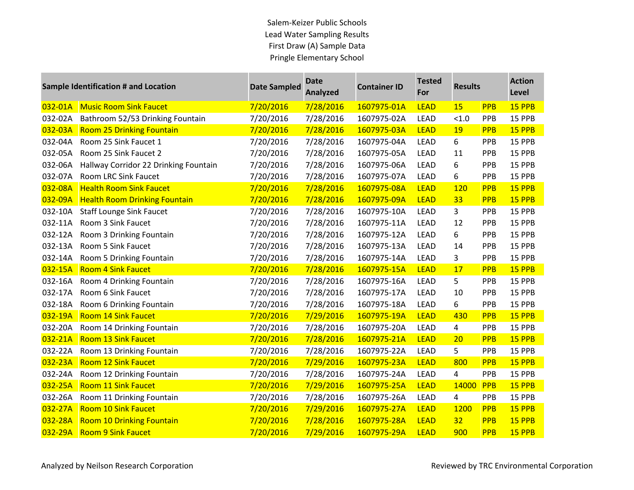## Salem-Keizer Public Schools Lead Water Sampling Results First Draw (A) Sample Data Pringle Elementary School

| Sample Identification # and Location |                                       | <b>Date Sampled</b> | <b>Date</b><br><b>Analyzed</b> | <b>Container ID</b> | <b>Tested</b><br>For | <b>Results</b> |            | <b>Action</b><br>Level |
|--------------------------------------|---------------------------------------|---------------------|--------------------------------|---------------------|----------------------|----------------|------------|------------------------|
| 032-01A                              | <b>Music Room Sink Faucet</b>         | 7/20/2016           | 7/28/2016                      | 1607975-01A         | <b>LEAD</b>          | 15             | <b>PPB</b> | 15 PPB                 |
| 032-02A                              | Bathroom 52/53 Drinking Fountain      | 7/20/2016           | 7/28/2016                      | 1607975-02A         | <b>LEAD</b>          | < 1.0          | PPB        | 15 PPB                 |
| 032-03A                              | <b>Room 25 Drinking Fountain</b>      | 7/20/2016           | 7/28/2016                      | 1607975-03A         | <b>LEAD</b>          | 19             | <b>PPB</b> | 15 PPB                 |
| 032-04A                              | Room 25 Sink Faucet 1                 | 7/20/2016           | 7/28/2016                      | 1607975-04A         | <b>LEAD</b>          | 6              | PPB        | 15 PPB                 |
| 032-05A                              | Room 25 Sink Faucet 2                 | 7/20/2016           | 7/28/2016                      | 1607975-05A         | LEAD                 | 11             | PPB        | 15 PPB                 |
| 032-06A                              | Hallway Corridor 22 Drinking Fountain | 7/20/2016           | 7/28/2016                      | 1607975-06A         | <b>LEAD</b>          | 6              | PPB        | 15 PPB                 |
| 032-07A                              | Room LRC Sink Faucet                  | 7/20/2016           | 7/28/2016                      | 1607975-07A         | <b>LEAD</b>          | 6              | PPB        | 15 PPB                 |
| 032-08A                              | <b>Health Room Sink Faucet</b>        | 7/20/2016           | 7/28/2016                      | 1607975-08A         | <b>LEAD</b>          | <b>120</b>     | <b>PPB</b> | 15 PPB                 |
| 032-09A                              | <b>Health Room Drinking Fountain</b>  | 7/20/2016           | 7/28/2016                      | 1607975-09A         | <b>LEAD</b>          | 33             | <b>PPB</b> | 15 PPB                 |
| 032-10A                              | <b>Staff Lounge Sink Faucet</b>       | 7/20/2016           | 7/28/2016                      | 1607975-10A         | <b>LEAD</b>          | 3              | PPB        | 15 PPB                 |
| 032-11A                              | Room 3 Sink Faucet                    | 7/20/2016           | 7/28/2016                      | 1607975-11A         | <b>LEAD</b>          | 12             | PPB        | 15 PPB                 |
| 032-12A                              | Room 3 Drinking Fountain              | 7/20/2016           | 7/28/2016                      | 1607975-12A         | <b>LEAD</b>          | 6              | PPB        | 15 PPB                 |
| 032-13A                              | Room 5 Sink Faucet                    | 7/20/2016           | 7/28/2016                      | 1607975-13A         | <b>LEAD</b>          | 14             | PPB        | 15 PPB                 |
| 032-14A                              | Room 5 Drinking Fountain              | 7/20/2016           | 7/28/2016                      | 1607975-14A         | <b>LEAD</b>          | 3              | PPB        | 15 PPB                 |
| 032-15A                              | <b>Room 4 Sink Faucet</b>             | 7/20/2016           | 7/28/2016                      | 1607975-15A         | <b>LEAD</b>          | 17             | <b>PPB</b> | 15 PPB                 |
| 032-16A                              | Room 4 Drinking Fountain              | 7/20/2016           | 7/28/2016                      | 1607975-16A         | LEAD                 | 5              | PPB        | 15 PPB                 |
| 032-17A                              | Room 6 Sink Faucet                    | 7/20/2016           | 7/28/2016                      | 1607975-17A         | <b>LEAD</b>          | 10             | PPB        | 15 PPB                 |
| 032-18A                              | Room 6 Drinking Fountain              | 7/20/2016           | 7/28/2016                      | 1607975-18A         | <b>LEAD</b>          | 6              | PPB        | 15 PPB                 |
| 032-19A                              | <b>Room 14 Sink Faucet</b>            | 7/20/2016           | 7/29/2016                      | 1607975-19A         | <b>LEAD</b>          | 430            | <b>PPB</b> | 15 PPB                 |
| 032-20A                              | Room 14 Drinking Fountain             | 7/20/2016           | 7/28/2016                      | 1607975-20A         | <b>LEAD</b>          | 4              | PPB        | 15 PPB                 |
| 032-21A                              | <b>Room 13 Sink Faucet</b>            | 7/20/2016           | 7/28/2016                      | 1607975-21A         | <b>LEAD</b>          | 20             | <b>PPB</b> | 15 PPB                 |
| 032-22A                              | Room 13 Drinking Fountain             | 7/20/2016           | 7/28/2016                      | 1607975-22A         | LEAD                 | 5              | PPB        | 15 PPB                 |
| 032-23A                              | <b>Room 12 Sink Faucet</b>            | 7/20/2016           | 7/29/2016                      | 1607975-23A         | <b>LEAD</b>          | 800            | <b>PPB</b> | 15 PPB                 |
| 032-24A                              | Room 12 Drinking Fountain             | 7/20/2016           | 7/28/2016                      | 1607975-24A         | <b>LEAD</b>          | $\overline{4}$ | PPB        | 15 PPB                 |
| 032-25A                              | <b>Room 11 Sink Faucet</b>            | 7/20/2016           | 7/29/2016                      | 1607975-25A         | <b>LEAD</b>          | 14000          | <b>PPB</b> | 15 PPB                 |
| 032-26A                              | Room 11 Drinking Fountain             | 7/20/2016           | 7/28/2016                      | 1607975-26A         | LEAD                 | 4              | PPB        | 15 PPB                 |
| 032-27A                              | <b>Room 10 Sink Faucet</b>            | 7/20/2016           | 7/29/2016                      | 1607975-27A         | <b>LEAD</b>          | 1200           | <b>PPB</b> | 15 PPB                 |
| 032-28A                              | <b>Room 10 Drinking Fountain</b>      | 7/20/2016           | 7/28/2016                      | 1607975-28A         | <b>LEAD</b>          | 32             | <b>PPB</b> | 15 PPB                 |
| 032-29A                              | <b>Room 9 Sink Faucet</b>             | 7/20/2016           | 7/29/2016                      | 1607975-29A         | <b>LEAD</b>          | 900            | <b>PPB</b> | 15 PPB                 |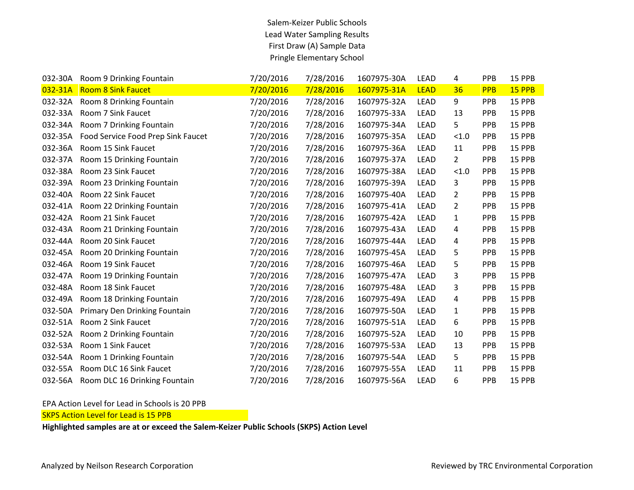## Salem-Keizer Public Schools Lead Water Sampling Results First Draw (A) Sample Data Pringle Elementary School

| 032-30A | Room 9 Drinking Fountain           | 7/20/2016 | 7/28/2016 | 1607975-30A | <b>LEAD</b> | 4              | PPB        | 15 PPB        |
|---------|------------------------------------|-----------|-----------|-------------|-------------|----------------|------------|---------------|
| 032-31A | <b>Room 8 Sink Faucet</b>          | 7/20/2016 | 7/28/2016 | 1607975-31A | <b>LEAD</b> | 36             | <b>PPB</b> | 15 PPB        |
| 032-32A | Room 8 Drinking Fountain           | 7/20/2016 | 7/28/2016 | 1607975-32A | <b>LEAD</b> | 9              | <b>PPB</b> | 15 PPB        |
| 032-33A | Room 7 Sink Faucet                 | 7/20/2016 | 7/28/2016 | 1607975-33A | <b>LEAD</b> | 13             | <b>PPB</b> | 15 PPB        |
| 032-34A | Room 7 Drinking Fountain           | 7/20/2016 | 7/28/2016 | 1607975-34A | <b>LEAD</b> | 5.             | PPB        | 15 PPB        |
| 032-35A | Food Service Food Prep Sink Faucet | 7/20/2016 | 7/28/2016 | 1607975-35A | <b>LEAD</b> | < 1.0          | PPB        | 15 PPB        |
| 032-36A | Room 15 Sink Faucet                | 7/20/2016 | 7/28/2016 | 1607975-36A | <b>LEAD</b> | 11             | PPB        | 15 PPB        |
| 032-37A | Room 15 Drinking Fountain          | 7/20/2016 | 7/28/2016 | 1607975-37A | <b>LEAD</b> | $\overline{2}$ | <b>PPB</b> | 15 PPB        |
| 032-38A | Room 23 Sink Faucet                | 7/20/2016 | 7/28/2016 | 1607975-38A | <b>LEAD</b> | < 1.0          | PPB        | 15 PPB        |
| 032-39A | Room 23 Drinking Fountain          | 7/20/2016 | 7/28/2016 | 1607975-39A | <b>LEAD</b> | 3              | PPB        | 15 PPB        |
| 032-40A | Room 22 Sink Faucet                | 7/20/2016 | 7/28/2016 | 1607975-40A | <b>LEAD</b> | $\overline{2}$ | PPB        | 15 PPB        |
| 032-41A | Room 22 Drinking Fountain          | 7/20/2016 | 7/28/2016 | 1607975-41A | <b>LEAD</b> | 2              | <b>PPB</b> | 15 PPB        |
| 032-42A | Room 21 Sink Faucet                | 7/20/2016 | 7/28/2016 | 1607975-42A | <b>LEAD</b> | $\mathbf{1}$   | <b>PPB</b> | 15 PPB        |
| 032-43A | Room 21 Drinking Fountain          | 7/20/2016 | 7/28/2016 | 1607975-43A | <b>LEAD</b> | 4              | PPB        | 15 PPB        |
| 032-44A | Room 20 Sink Faucet                | 7/20/2016 | 7/28/2016 | 1607975-44A | <b>LEAD</b> | 4              | <b>PPB</b> | 15 PPB        |
| 032-45A | Room 20 Drinking Fountain          | 7/20/2016 | 7/28/2016 | 1607975-45A | <b>LEAD</b> | 5              | PPB        | 15 PPB        |
| 032-46A | Room 19 Sink Faucet                | 7/20/2016 | 7/28/2016 | 1607975-46A | <b>LEAD</b> | 5              | <b>PPB</b> | 15 PPB        |
| 032-47A | Room 19 Drinking Fountain          | 7/20/2016 | 7/28/2016 | 1607975-47A | <b>LEAD</b> | 3              | PPB        | 15 PPB        |
| 032-48A | Room 18 Sink Faucet                | 7/20/2016 | 7/28/2016 | 1607975-48A | <b>LEAD</b> | 3              | <b>PPB</b> | 15 PPB        |
| 032-49A | Room 18 Drinking Fountain          | 7/20/2016 | 7/28/2016 | 1607975-49A | <b>LEAD</b> | 4              | <b>PPB</b> | 15 PPB        |
| 032-50A | Primary Den Drinking Fountain      | 7/20/2016 | 7/28/2016 | 1607975-50A | <b>LEAD</b> | 1              | PPB        | 15 PPB        |
| 032-51A | Room 2 Sink Faucet                 | 7/20/2016 | 7/28/2016 | 1607975-51A | <b>LEAD</b> | 6              | <b>PPB</b> | 15 PPB        |
| 032-52A | Room 2 Drinking Fountain           | 7/20/2016 | 7/28/2016 | 1607975-52A | LEAD        | 10             | PPB        | 15 PPB        |
| 032-53A | Room 1 Sink Faucet                 | 7/20/2016 | 7/28/2016 | 1607975-53A | <b>LEAD</b> | 13             | PPB        | 15 PPB        |
| 032-54A | Room 1 Drinking Fountain           | 7/20/2016 | 7/28/2016 | 1607975-54A | <b>LEAD</b> | 5              | <b>PPB</b> | 15 PPB        |
| 032-55A | Room DLC 16 Sink Faucet            | 7/20/2016 | 7/28/2016 | 1607975-55A | <b>LEAD</b> | 11             | PPB        | 15 PPB        |
| 032-56A | Room DLC 16 Drinking Fountain      | 7/20/2016 | 7/28/2016 | 1607975-56A | <b>LEAD</b> | 6              | <b>PPB</b> | <b>15 PPB</b> |

EPA Action Level for Lead in Schools is 20 PPB

**SKPS Action Level for Lead is 15 PPB**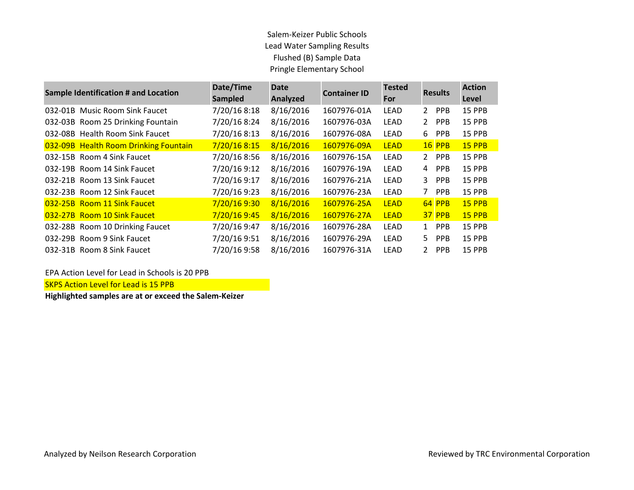## Salem-Keizer Public Schools Lead Water Sampling Results Flushed (B) Sample Data Pringle Elementary School

| <b>Sample Identification # and Location</b> | Date/Time<br><b>Sampled</b> | <b>Date</b><br><b>Analyzed</b> | <b>Container ID</b> | <b>Tested</b><br>For | <b>Results</b>               | <b>Action</b><br>Level |
|---------------------------------------------|-----------------------------|--------------------------------|---------------------|----------------------|------------------------------|------------------------|
| 032-01B Music Room Sink Faucet              | 7/20/16 8:18                | 8/16/2016                      | 1607976-01A         | LEAD                 | PPB<br>2                     | 15 PPB                 |
| 032-03B Room 25 Drinking Fountain           | 7/20/16 8:24                | 8/16/2016                      | 1607976-03A         | <b>LEAD</b>          | 2<br><b>PPB</b>              | <b>15 PPB</b>          |
| 032-08B Health Room Sink Faucet             | 7/20/16 8:13                | 8/16/2016                      | 1607976-08A         | LEAD                 | 6<br><b>PPB</b>              | <b>15 PPB</b>          |
| 032-09B Health Room Drinking Fountain       | 7/20/16 8:15                | 8/16/2016                      | 1607976-09A         | <b>LEAD</b>          | <b>16 PPB</b>                | <b>15 PPB</b>          |
| 032-15B Room 4 Sink Faucet                  | 7/20/16 8:56                | 8/16/2016                      | 1607976-15A         | LEAD                 | <b>PPB</b><br>$\overline{2}$ | <b>15 PPB</b>          |
| 032-19B Room 14 Sink Faucet                 | 7/20/16 9:12                | 8/16/2016                      | 1607976-19A         | <b>LEAD</b>          | <b>PPB</b><br>4              | <b>15 PPB</b>          |
| 032-21B Room 13 Sink Faucet                 | 7/20/16 9:17                | 8/16/2016                      | 1607976-21A         | LEAD                 | 3.<br><b>PPB</b>             | <b>15 PPB</b>          |
| 032-23B Room 12 Sink Faucet                 | 7/20/16 9:23                | 8/16/2016                      | 1607976-23A         | LEAD                 | 7<br><b>PPB</b>              | <b>15 PPB</b>          |
| 032-25B Room 11 Sink Faucet                 | 7/20/16 9:30                | 8/16/2016                      | 1607976-25A         | <b>LEAD</b>          | 64 PPB                       | <b>15 PPB</b>          |
| 032-27B Room 10 Sink Faucet                 | 7/20/16 9:45                | 8/16/2016                      | 1607976-27A         | <b>LEAD</b>          | <b>37 PPB</b>                | <b>15 PPB</b>          |
| 032-28B Room 10 Drinking Faucet             | 7/20/16 9:47                | 8/16/2016                      | 1607976-28A         | LEAD                 | <b>PPB</b><br>1              | <b>15 PPB</b>          |
| 032-29B Room 9 Sink Faucet                  | 7/20/16 9:51                | 8/16/2016                      | 1607976-29A         | LEAD                 | 5.<br><b>PPB</b>             | <b>15 PPB</b>          |
| 032-31B Room 8 Sink Faucet                  | 7/20/16 9:58                | 8/16/2016                      | 1607976-31A         | LEAD                 | 2<br><b>PPB</b>              | <b>15 PPB</b>          |

EPA Action Level for Lead in Schools is 20 PPB

SKPS Action Level for Lead is 15 PPB

**Highlighted samples are at or exceed the Salem-Keizer**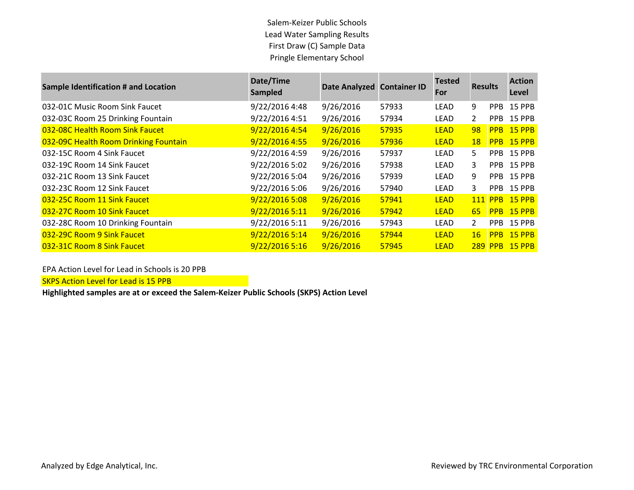Salem-Keizer Public Schools Lead Water Sampling Results First Draw (C) Sample Data Pringle Elementary School

| <b>Sample Identification # and Location</b> | Date/Time<br><b>Sampled</b> | Date Analyzed Container ID |       | <b>Tested</b><br>For | <b>Results</b>        |                | <b>Action</b><br>Level |
|---------------------------------------------|-----------------------------|----------------------------|-------|----------------------|-----------------------|----------------|------------------------|
| 032-01C Music Room Sink Faucet              | 9/22/2016 4:48              | 9/26/2016                  | 57933 | LEAD                 | 9                     | PPB.           | <b>15 PPB</b>          |
| 032-03C Room 25 Drinking Fountain           | 9/22/2016 4:51              | 9/26/2016                  | 57934 | LEAD                 | $\mathbf{2}^{\prime}$ | PPB.           | <b>15 PPB</b>          |
| 032-08C Health Room Sink Faucet             | 9/22/2016 4:54              | 9/26/2016                  | 57935 | <b>LEAD</b>          | 98                    | <b>PPB</b>     | $15$ PPB               |
| 032-09C Health Room Drinking Fountain       | 9/22/2016 4:55              | 9/26/2016                  | 57936 | <b>LEAD</b>          | <b>18</b>             | <b>PPB</b>     | $15$ PPB               |
| 032-15C Room 4 Sink Faucet                  | 9/22/2016 4:59              | 9/26/2016                  | 57937 | LEAD                 | 5                     | PPB.           | <b>15 PPB</b>          |
| 032-19C Room 14 Sink Faucet                 | 9/22/2016 5:02              | 9/26/2016                  | 57938 | LEAD                 | 3                     | PPB.           | 15 PPB                 |
| 032-21C Room 13 Sink Faucet                 | 9/22/2016 5:04              | 9/26/2016                  | 57939 | LEAD                 | 9                     | PPB.           | 15 PPB                 |
| 032-23C Room 12 Sink Faucet                 | 9/22/2016 5:06              | 9/26/2016                  | 57940 | LEAD                 | 3                     |                | PPB 15 PPB             |
| 032-25C Room 11 Sink Faucet                 | 9/22/2016 5:08              | 9/26/2016                  | 57941 | <b>LEAD</b>          |                       | <b>111 PPB</b> | $15$ PPB               |
| 032-27C Room 10 Sink Faucet                 | 9/22/2016 5:11              | 9/26/2016                  | 57942 | <b>LEAD</b>          | 65                    |                | PPB 15 PPB             |
| 032-28C Room 10 Drinking Fountain           | 9/22/2016 5:11              | 9/26/2016                  | 57943 | LEAD                 | $\overline{2}$        | PPB.           | 15 PPB                 |
| 032-29C Room 9 Sink Faucet                  | 9/22/2016 5:14              | 9/26/2016                  | 57944 | <b>LEAD</b>          | 16                    | <b>PPB</b>     | $15$ PPB               |
| 032-31C Room 8 Sink Faucet                  | 9/22/2016 5:16              | 9/26/2016                  | 57945 | <b>LEAD</b>          |                       | <b>289 PPB</b> | $15$ PPB               |

EPA Action Level for Lead in Schools is 20 PPB

SKPS Action Level for Lead is 15 PPB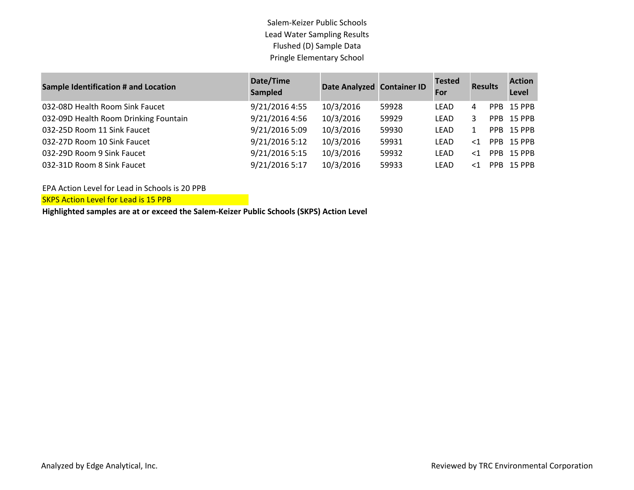Salem-Keizer Public Schools Lead Water Sampling Results Flushed (D) Sample Data Pringle Elementary School

| <b>Sample Identification # and Location</b> | Date/Time<br>Sampled | Date Analyzed Container ID |       | <b>Tested</b><br>For | <b>Results</b> |                 | <b>Action</b><br>Level |
|---------------------------------------------|----------------------|----------------------------|-------|----------------------|----------------|-----------------|------------------------|
| 032-08D Health Room Sink Faucet             | 9/21/2016 4:55       | 10/3/2016                  | 59928 | LEAD                 | 4              |                 | PPB 15 PPB             |
| 032-09D Health Room Drinking Fountain       | 9/21/2016 4:56       | 10/3/2016                  | 59929 | LEAD                 |                | PPB.            | 15 PPB                 |
| 032-25D Room 11 Sink Faucet                 | 9/21/2016 5:09       | 10/3/2016                  | 59930 | LEAD                 |                | PPB.            | 15 PPB                 |
| 032-27D Room 10 Sink Faucet                 | 9/21/2016 5:12       | 10/3/2016                  | 59931 | LEAD                 | $\leq$ 1       | PP <sub>B</sub> | 15 PPB                 |
| 032-29D Room 9 Sink Faucet                  | 9/21/2016 5:15       | 10/3/2016                  | 59932 | LEAD                 | $<$ 1          | PPB.            | <b>15 PPB</b>          |
| 032-31D Room 8 Sink Faucet                  | 9/21/2016 5:17       | 10/3/2016                  | 59933 | LEAD                 | $<$ 1          | PPB.            | <b>15 PPB</b>          |

EPA Action Level for Lead in Schools is 20 PPB

SKPS Action Level for Lead is 15 PPB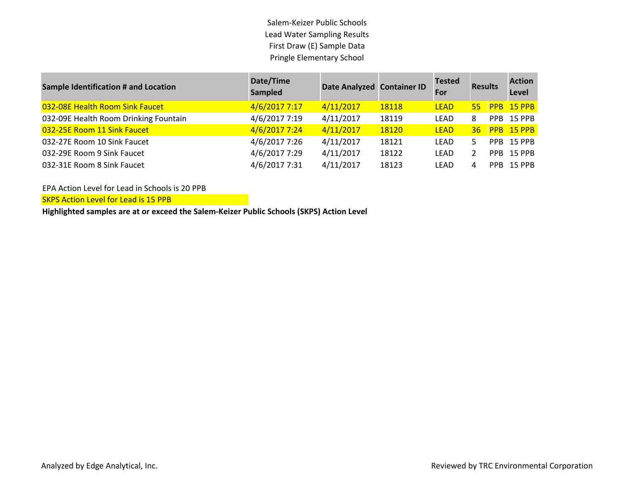Salem-Keizer Public Schools Lead Water Sampling Results First Draw (E) Sample Data Pringle Elementary School

| <b>Sample Identification # and Location</b> | Date/Time<br>Sampled | Date Analyzed Container ID |       | <b>Tested</b><br>For | <b>Results</b> |            | <b>Action</b><br>Level |
|---------------------------------------------|----------------------|----------------------------|-------|----------------------|----------------|------------|------------------------|
| 032-08E Health Room Sink Faucet             | 4/6/2017 7:17        | 4/11/2017                  | 18118 | <b>LEAD</b>          | 55             |            | <b>PPB 15 PPB</b>      |
| 032-09E Health Room Drinking Fountain       | 4/6/2017 7:19        | 4/11/2017                  | 18119 | LEAD                 | 8              | <b>PPB</b> | <b>15 PPB</b>          |
| 032-25E Room 11 Sink Faucet                 | 4/6/2017 7:24        | 4/11/2017                  | 18120 | <b>LEAD</b>          | 36             |            | PPB 15 PPB             |
| 032-27E Room 10 Sink Faucet                 | 4/6/2017 7:26        | 4/11/2017                  | 18121 | LEAD                 |                | PPR.       | <b>15 PPB</b>          |
| 032-29E Room 9 Sink Faucet                  | 4/6/2017 7:29        | 4/11/2017                  | 18122 | LEAD                 |                | PPB.       | <b>15 PPB</b>          |
| 032-31E Room 8 Sink Faucet                  | 4/6/2017 7:31        | 4/11/2017                  | 18123 | LEAD                 | Δ              |            | PPB 15 PPB             |

EPA Action Level for Lead in Schools is 20 PPB

SKPS Action Level for Lead is 15 PPB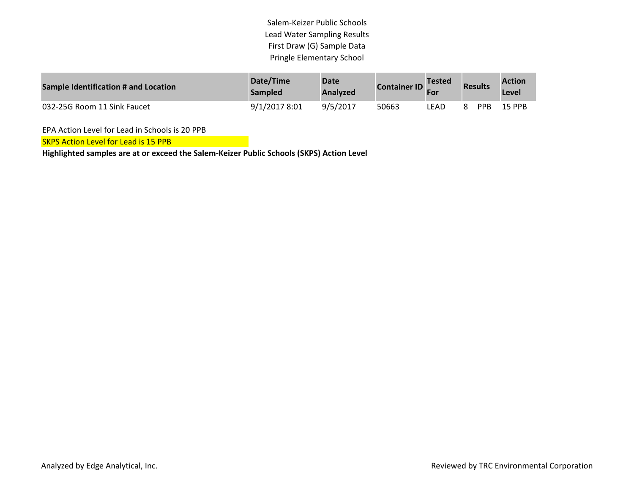Salem-Keizer Public Schools Lead Water Sampling Results First Draw (G) Sample Data Pringle Elementary School

| Sample Identification # and Location | Date/Time<br><b>Sampled</b> | <b>Date</b><br>Analyzed | <b>Container ID</b> | <b>Tested</b><br><b>For</b> | <b>Results</b> |            | <b>Action</b><br>Level |
|--------------------------------------|-----------------------------|-------------------------|---------------------|-----------------------------|----------------|------------|------------------------|
| 032-25G Room 11 Sink Faucet          | 9/1/2017 8:01               | 9/5/2017                | 50663               | LEAD                        | 8              | <b>PPR</b> | 15 PPR                 |

EPA Action Level for Lead in Schools is 20 PPB

SKPS Action Level for Lead is 15 PPB